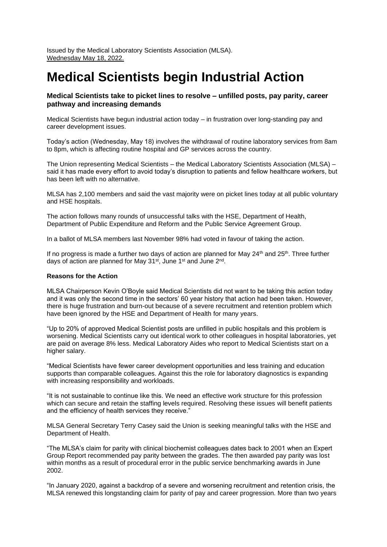Issued by the Medical Laboratory Scientists Association (MLSA). Wednesday May 18, 2022.

# **Medical Scientists begin Industrial Action**

## **Medical Scientists take to picket lines to resolve – unfilled posts, pay parity, career pathway and increasing demands**

Medical Scientists have begun industrial action today – in frustration over long-standing pay and career development issues.

Today's action (Wednesday, May 18) involves the withdrawal of routine laboratory services from 8am to 8pm, which is affecting routine hospital and GP services across the country.

The Union representing Medical Scientists – the Medical Laboratory Scientists Association (MLSA) – said it has made every effort to avoid today's disruption to patients and fellow healthcare workers, but has been left with no alternative.

MLSA has 2,100 members and said the vast majority were on picket lines today at all public voluntary and HSE hospitals.

The action follows many rounds of unsuccessful talks with the HSE, Department of Health, Department of Public Expenditure and Reform and the Public Service Agreement Group.

In a ballot of MLSA members last November 98% had voted in favour of taking the action.

If no progress is made a further two days of action are planned for May  $24<sup>th</sup>$  and  $25<sup>th</sup>$ . Three further days of action are planned for May 31<sup>st</sup>, June 1<sup>st</sup> and June 2<sup>nd</sup>.

#### **Reasons for the Action**

MLSA Chairperson Kevin O'Boyle said Medical Scientists did not want to be taking this action today and it was only the second time in the sectors' 60 year history that action had been taken. However, there is huge frustration and burn-out because of a severe recruitment and retention problem which have been ignored by the HSE and Department of Health for many years.

"Up to 20% of approved Medical Scientist posts are unfilled in public hospitals and this problem is worsening. Medical Scientists carry out identical work to other colleagues in hospital laboratories, yet are paid on average 8% less. Medical Laboratory Aides who report to Medical Scientists start on a higher salary.

"Medical Scientists have fewer career development opportunities and less training and education supports than comparable colleagues. Against this the role for laboratory diagnostics is expanding with increasing responsibility and workloads.

"It is not sustainable to continue like this. We need an effective work structure for this profession which can secure and retain the staffing levels required. Resolving these issues will benefit patients and the efficiency of health services they receive."

MLSA General Secretary Terry Casey said the Union is seeking meaningful talks with the HSE and Department of Health.

"The MLSA's claim for parity with clinical biochemist colleagues dates back to 2001 when an Expert Group Report recommended pay parity between the grades. The then awarded pay parity was lost within months as a result of procedural error in the public service benchmarking awards in June 2002.

"In January 2020, against a backdrop of a severe and worsening recruitment and retention crisis, the MLSA renewed this longstanding claim for parity of pay and career progression. More than two years